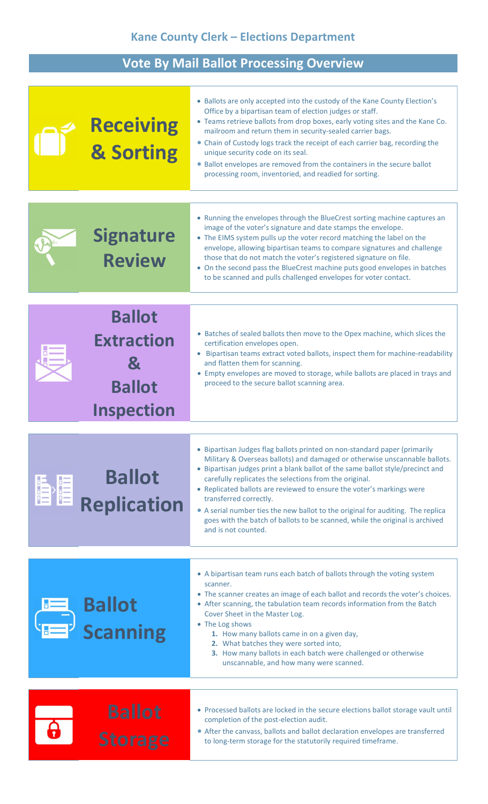## Kane County Clerk – Elections Department

## Vote By Mail Ballot Processing Overview

|   | <b>Receiving</b><br>& Sorting                                                  | • Ballots are only accepted into the custody of the Kane County Election's<br>Office by a bipartisan team of election judges or staff.<br>• Teams retrieve ballots from drop boxes, early voting sites and the Kane Co.<br>mailroom and return them in security-sealed carrier bags.<br>• Chain of Custody logs track the receipt of each carrier bag, recording the<br>unique security code on its seal.<br>• Ballot envelopes are removed from the containers in the secure ballot<br>processing room, inventoried, and readied for sorting.                                                   |
|---|--------------------------------------------------------------------------------|--------------------------------------------------------------------------------------------------------------------------------------------------------------------------------------------------------------------------------------------------------------------------------------------------------------------------------------------------------------------------------------------------------------------------------------------------------------------------------------------------------------------------------------------------------------------------------------------------|
|   | <b>Signature</b><br><b>Review</b>                                              | • Running the envelopes through the BlueCrest sorting machine captures an<br>image of the voter's signature and date stamps the envelope.<br>• The EIMS system pulls up the voter record matching the label on the<br>envelope, allowing bipartisan teams to compare signatures and challenge<br>those that do not match the voter's registered signature on file.<br>• On the second pass the BlueCrest machine puts good envelopes in batches<br>to be scanned and pulls challenged envelopes for voter contact.                                                                               |
|   | <b>Ballot</b><br><b>Extraction</b><br>Х.<br><b>Ballot</b><br><b>Inspection</b> | • Batches of sealed ballots then move to the Opex machine, which slices the<br>certification envelopes open.<br>Bipartisan teams extract voted ballots, inspect them for machine-readability<br>and flatten them for scanning.<br>• Empty envelopes are moved to storage, while ballots are placed in trays and<br>proceed to the secure ballot scanning area.                                                                                                                                                                                                                                   |
| 倡 | <b>Ballot</b><br><b>Replication</b>                                            | • Bipartisan Judges flag ballots printed on non-standard paper (primarily<br>Military & Overseas ballots) and damaged or otherwise unscannable ballots.<br>• Bipartisan judges print a blank ballot of the same ballot style/precinct and<br>carefully replicates the selections from the original.<br>• Replicated ballots are reviewed to ensure the voter's markings were<br>transferred correctly.<br>• A serial number ties the new ballot to the original for auditing. The replica<br>goes with the batch of ballots to be scanned, while the original is archived<br>and is not counted. |
|   | <b>Ballot</b><br><b>Scanning</b>                                               | • A bipartisan team runs each batch of ballots through the voting system<br>scanner.<br>• The scanner creates an image of each ballot and records the voter's choices.<br>• After scanning, the tabulation team records information from the Batch<br>Cover Sheet in the Master Log.<br>• The Log shows<br>1. How many ballots came in on a given day,<br>2. What batches they were sorted into,<br>3. How many ballots in each batch were challenged or otherwise<br>unscannable, and how many were scanned.                                                                                    |
|   | <b>Ballot</b><br><b>Storage</b>                                                | • Processed ballots are locked in the secure elections ballot storage vault until<br>completion of the post-election audit.<br>• After the canvass, ballots and ballot declaration envelopes are transferred<br>to long-term storage for the statutorily required timeframe.                                                                                                                                                                                                                                                                                                                     |